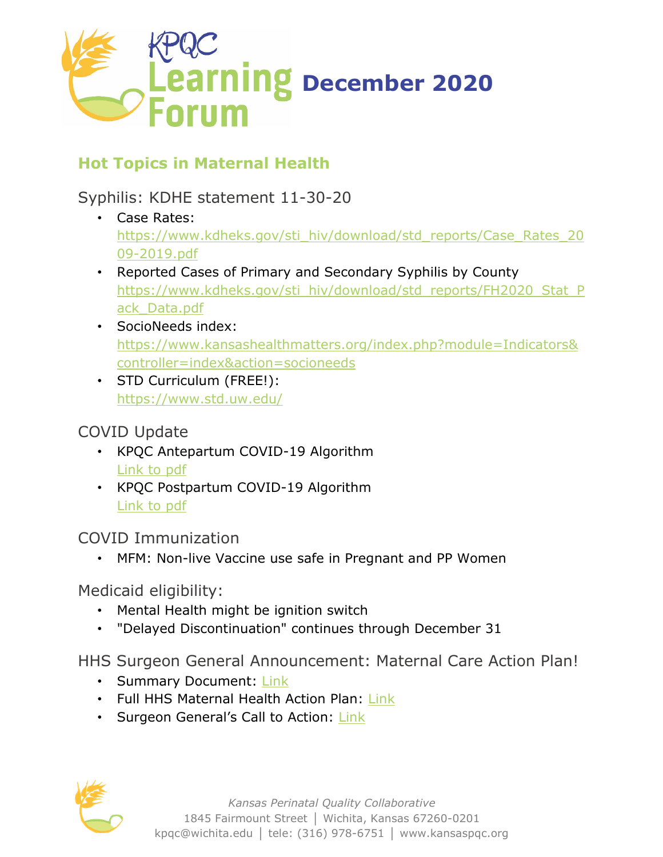

## **Hot Topics in Maternal Health**

Syphilis: KDHE statement 11-30-20

- Case Rates: [https://www.kdheks.gov/sti\\_hiv/download/std\\_reports/Case\\_Rates\\_20](https://www.kdheks.gov/sti_hiv/download/std_reports/Case_Rates_2009-2019.pdf) 09-[2019.pdf](https://www.kdheks.gov/sti_hiv/download/std_reports/Case_Rates_2009-2019.pdf)
- Reported Cases of Primary and Secondary Syphilis by County [https://www.kdheks.gov/sti\\_hiv/download/std\\_reports/FH2020\\_Stat\\_P](https://www.kdheks.gov/sti_hiv/download/std_reports/FH2020_Stat_Pack_Data.pdf) [ack\\_Data.pdf](https://www.kdheks.gov/sti_hiv/download/std_reports/FH2020_Stat_Pack_Data.pdf)
- SocioNeeds index: [https://www.kansashealthmatters.org/index.php?module=Indicators&](https://www.kansashealthmatters.org/index.php?module=Indicators&controller=index&action=socioneeds) [controller=index&action=socioneeds](https://www.kansashealthmatters.org/index.php?module=Indicators&controller=index&action=socioneeds)
- STD Curriculum (FREE!): <https://www.std.uw.edu/>

## COVID Update

- KPQC Antepartum COVID-19 Algorithm [Link to pdf](https://mcusercontent.com/d6f903e24b6436c6dd87d1319/files/5cf4cfaa-23fa-45a5-a097-d037f700402b/KPQC_Antepartum_COVID_19_Algorithm.pdf)
- KPQC Postpartum COVID-19 Algorithm [Link to pdf](https://mcusercontent.com/d6f903e24b6436c6dd87d1319/files/02498e73-f895-4778-beb9-5a5938b3e2f5/KPQC_Postpartum_COVID_19_Algorithm.pdf)

COVID Immunization

• MFM: Non-live Vaccine use safe in Pregnant and PP Women

Medicaid eligibility:

- Mental Health might be ignition switch
- "Delayed Discontinuation" continues through December 31

HHS Surgeon General Announcement: Maternal Care Action Plan!

- Summary Document: [Link](https://aspe.hhs.gov/system/files/aspe-files/264076/hhs-maternal-health-action-plan-summary.pdf)
- Full HHS Maternal Health Action Plan: [Link](https://aspe.hhs.gov/system/files/aspe-files/264076/healthy-women-healthy-pregnancies-healthy-future-action-plan_0.pdf)
- Surgeon General's Call to Action: [Link](https://www.hhs.gov/sites/default/files/call-to-action-maternal-health.pdf)